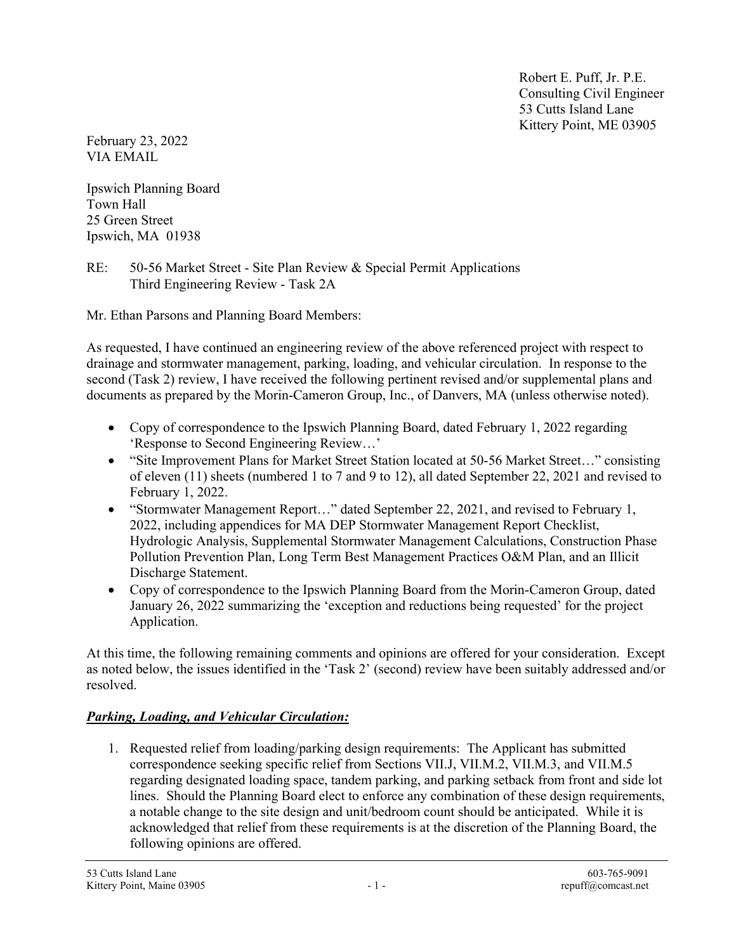Robert E. Puff, Jr. P.E. Consulting Civil Engineer 53 Cutts Island Lane Kittery Point, ME 03905

February 23, 2022 VIA EMAIL

Ipswich Planning Board Town Hall 25 Green Street Ipswich, MA 01938

RE: 50-56 Market Street - Site Plan Review & Special Permit Applications Third Engineering Review - Task 2A

Mr. Ethan Parsons and Planning Board Members:

As requested, I have continued an engineering review of the above referenced project with respect to drainage and stormwater management, parking, loading, and vehicular circulation. In response to the second (Task 2) review, I have received the following pertinent revised and/or supplemental plans and documents as prepared by the Morin-Cameron Group, Inc., of Danvers, MA (unless otherwise noted).

- Copy of correspondence to the Ipswich Planning Board, dated February 1, 2022 regarding 'Response to Second Engineering Review…'
- "Site Improvement Plans for Market Street Station located at 50-56 Market Street…" consisting of eleven (11) sheets (numbered 1 to 7 and 9 to 12), all dated September 22, 2021 and revised to February 1, 2022.
- "Stormwater Management Report…" dated September 22, 2021, and revised to February 1, 2022, including appendices for MA DEP Stormwater Management Report Checklist, Hydrologic Analysis, Supplemental Stormwater Management Calculations, Construction Phase Pollution Prevention Plan, Long Term Best Management Practices O&M Plan, and an Illicit Discharge Statement.
- Copy of correspondence to the Ipswich Planning Board from the Morin-Cameron Group, dated January 26, 2022 summarizing the 'exception and reductions being requested' for the project Application.

At this time, the following remaining comments and opinions are offered for your consideration. Except as noted below, the issues identified in the 'Task 2' (second) review have been suitably addressed and/or resolved.

## **Parking, Loading, and Vehicular Circulation:**

1. Requested relief from loading/parking design requirements: The Applicant has submitted correspondence seeking specific relief from Sections VII.J, VII.M.2, VII.M.3, and VII.M.5 regarding designated loading space, tandem parking, and parking setback from front and side lot lines. Should the Planning Board elect to enforce any combination of these design requirements, a notable change to the site design and unit/bedroom count should be anticipated. While it is acknowledged that relief from these requirements is at the discretion of the Planning Board, the following opinions are offered.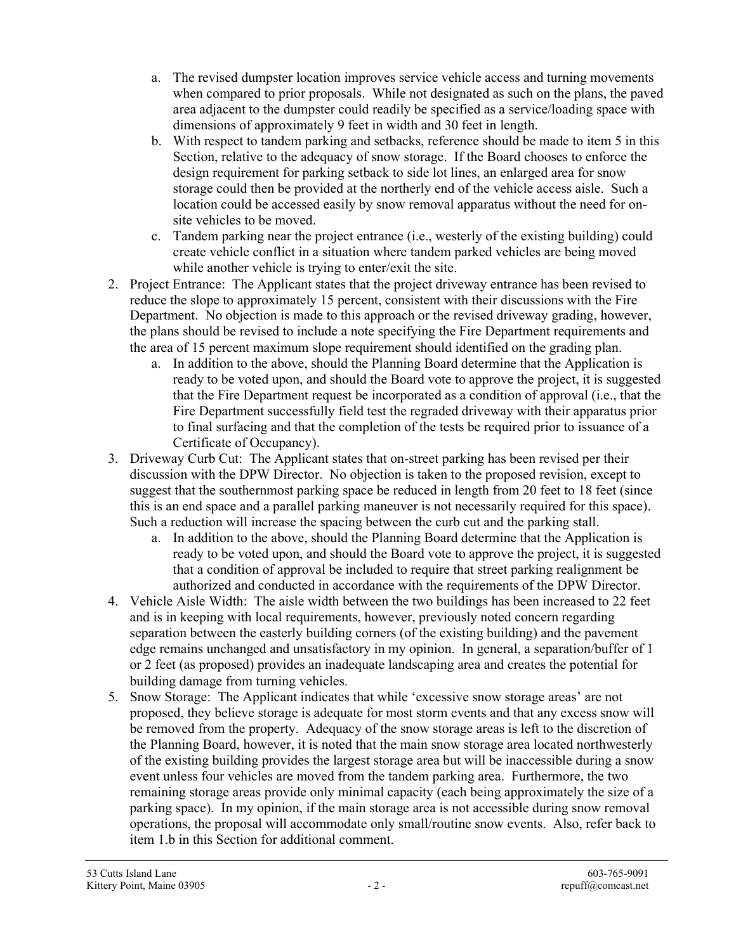- a. The revised dumpster location improves service vehicle access and turning movements when compared to prior proposals. While not designated as such on the plans, the paved area adjacent to the dumpster could readily be specified as a service/loading space with dimensions of approximately 9 feet in width and 30 feet in length.
- b. With respect to tandem parking and setbacks, reference should be made to item 5 in this Section, relative to the adequacy of snow storage. If the Board chooses to enforce the design requirement for parking setback to side lot lines, an enlarged area for snow storage could then be provided at the northerly end of the vehicle access aisle. Such a location could be accessed easily by snow removal apparatus without the need for onsite vehicles to be moved.
- c. Tandem parking near the project entrance (i.e., westerly of the existing building) could create vehicle conflict in a situation where tandem parked vehicles are being moved while another vehicle is trying to enter/exit the site.
- 2. Project Entrance: The Applicant states that the project driveway entrance has been revised to reduce the slope to approximately 15 percent, consistent with their discussions with the Fire Department. No objection is made to this approach or the revised driveway grading, however, the plans should be revised to include a note specifying the Fire Department requirements and the area of 15 percent maximum slope requirement should identified on the grading plan.
	- a. In addition to the above, should the Planning Board determine that the Application is ready to be voted upon, and should the Board vote to approve the project, it is suggested that the Fire Department request be incorporated as a condition of approval (i.e., that the Fire Department successfully field test the regraded driveway with their apparatus prior to final surfacing and that the completion of the tests be required prior to issuance of a Certificate of Occupancy).
- 3. Driveway Curb Cut: The Applicant states that on-street parking has been revised per their discussion with the DPW Director. No objection is taken to the proposed revision, except to suggest that the southernmost parking space be reduced in length from 20 feet to 18 feet (since this is an end space and a parallel parking maneuver is not necessarily required for this space). Such a reduction will increase the spacing between the curb cut and the parking stall.
	- a. In addition to the above, should the Planning Board determine that the Application is ready to be voted upon, and should the Board vote to approve the project, it is suggested that a condition of approval be included to require that street parking realignment be authorized and conducted in accordance with the requirements of the DPW Director.
- 4. Vehicle Aisle Width: The aisle width between the two buildings has been increased to 22 feet and is in keeping with local requirements, however, previously noted concern regarding separation between the easterly building corners (of the existing building) and the pavement edge remains unchanged and unsatisfactory in my opinion. In general, a separation/buffer of 1 or 2 feet (as proposed) provides an inadequate landscaping area and creates the potential for building damage from turning vehicles.
- 5. Snow Storage: The Applicant indicates that while 'excessive snow storage areas' are not proposed, they believe storage is adequate for most storm events and that any excess snow will be removed from the property. Adequacy of the snow storage areas is left to the discretion of the Planning Board, however, it is noted that the main snow storage area located northwesterly of the existing building provides the largest storage area but will be inaccessible during a snow event unless four vehicles are moved from the tandem parking area. Furthermore, the two remaining storage areas provide only minimal capacity (each being approximately the size of a parking space). In my opinion, if the main storage area is not accessible during snow removal operations, the proposal will accommodate only small/routine snow events. Also, refer back to item 1.b in this Section for additional comment.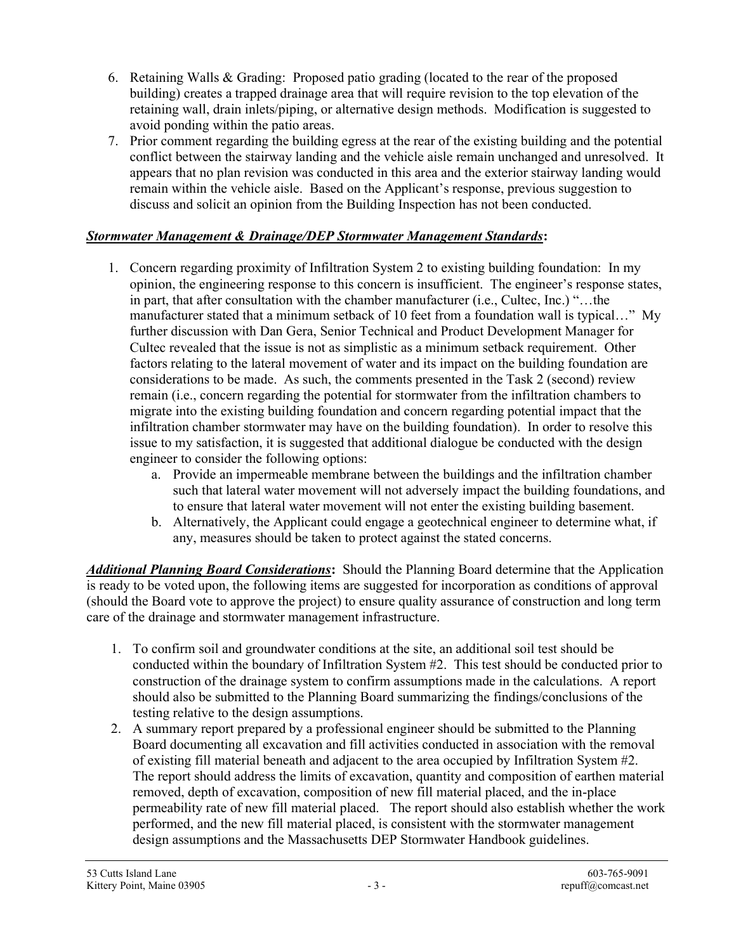- 6. Retaining Walls & Grading: Proposed patio grading (located to the rear of the proposed building) creates a trapped drainage area that will require revision to the top elevation of the retaining wall, drain inlets/piping, or alternative design methods. Modification is suggested to avoid ponding within the patio areas.
- 7. Prior comment regarding the building egress at the rear of the existing building and the potential conflict between the stairway landing and the vehicle aisle remain unchanged and unresolved. It appears that no plan revision was conducted in this area and the exterior stairway landing would remain within the vehicle aisle. Based on the Applicant's response, previous suggestion to discuss and solicit an opinion from the Building Inspection has not been conducted.

## Stormwater Management & Drainage/DEP Stormwater Management Standards:

- 1. Concern regarding proximity of Infiltration System 2 to existing building foundation: In my opinion, the engineering response to this concern is insufficient. The engineer's response states, in part, that after consultation with the chamber manufacturer (i.e., Cultec, Inc.) "…the manufacturer stated that a minimum setback of 10 feet from a foundation wall is typical…" My further discussion with Dan Gera, Senior Technical and Product Development Manager for Cultec revealed that the issue is not as simplistic as a minimum setback requirement. Other factors relating to the lateral movement of water and its impact on the building foundation are considerations to be made. As such, the comments presented in the Task 2 (second) review remain (i.e., concern regarding the potential for stormwater from the infiltration chambers to migrate into the existing building foundation and concern regarding potential impact that the infiltration chamber stormwater may have on the building foundation). In order to resolve this issue to my satisfaction, it is suggested that additional dialogue be conducted with the design engineer to consider the following options:
	- a. Provide an impermeable membrane between the buildings and the infiltration chamber such that lateral water movement will not adversely impact the building foundations, and to ensure that lateral water movement will not enter the existing building basement.
	- b. Alternatively, the Applicant could engage a geotechnical engineer to determine what, if any, measures should be taken to protect against the stated concerns.

**Additional Planning Board Considerations:** Should the Planning Board determine that the Application is ready to be voted upon, the following items are suggested for incorporation as conditions of approval (should the Board vote to approve the project) to ensure quality assurance of construction and long term care of the drainage and stormwater management infrastructure.

- 1. To confirm soil and groundwater conditions at the site, an additional soil test should be conducted within the boundary of Infiltration System #2. This test should be conducted prior to construction of the drainage system to confirm assumptions made in the calculations. A report should also be submitted to the Planning Board summarizing the findings/conclusions of the testing relative to the design assumptions.
- 2. A summary report prepared by a professional engineer should be submitted to the Planning Board documenting all excavation and fill activities conducted in association with the removal of existing fill material beneath and adjacent to the area occupied by Infiltration System #2. The report should address the limits of excavation, quantity and composition of earthen material removed, depth of excavation, composition of new fill material placed, and the in-place permeability rate of new fill material placed. The report should also establish whether the work performed, and the new fill material placed, is consistent with the stormwater management design assumptions and the Massachusetts DEP Stormwater Handbook guidelines.